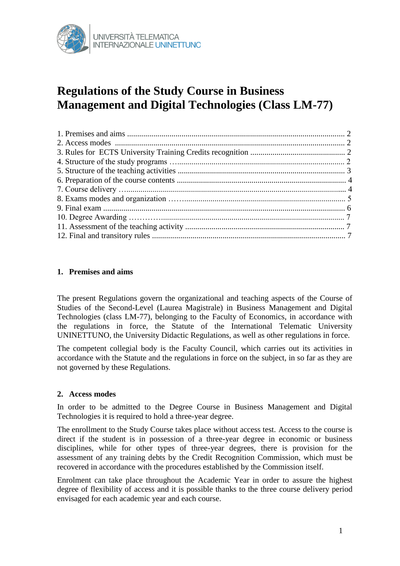

# **Regulations of the Study Course in Business Management and Digital Technologies (Class LM-77)**

# **1. Premises and aims**

The present Regulations govern the organizational and teaching aspects of the Course of Studies of the Second-Level (Laurea Magistrale) in Business Management and Digital Technologies (class LM-77), belonging to the Faculty of Economics, in accordance with the regulations in force, the Statute of the International Telematic University UNINETTUNO, the University Didactic Regulations, as well as other regulations in force.

The competent collegial body is the Faculty Council, which carries out its activities in accordance with the Statute and the regulations in force on the subject, in so far as they are not governed by these Regulations.

## **2. Access modes**

In order to be admitted to the Degree Course in Business Management and Digital Technologies it is required to hold a three-year degree.

The enrollment to the Study Course takes place without access test. Access to the course is direct if the student is in possession of a three-year degree in economic or business disciplines, while for other types of three-year degrees, there is provision for the assessment of any training debts by the Credit Recognition Commission, which must be recovered in accordance with the procedures established by the Commission itself.

Enrolment can take place throughout the Academic Year in order to assure the highest degree of flexibility of access and it is possible thanks to the three course delivery period envisaged for each academic year and each course.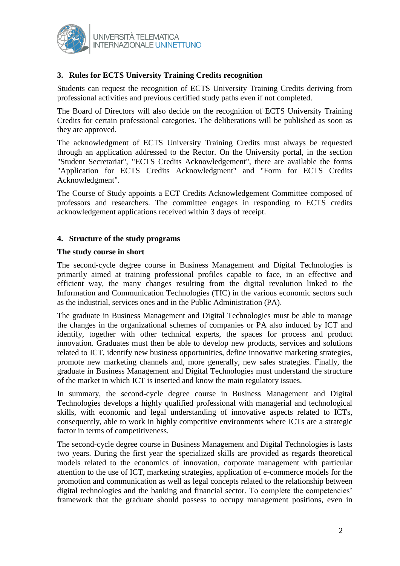

# **3. Rules for ECTS University Training Credits recognition**

Students can request the recognition of ECTS University Training Credits deriving from professional activities and previous certified study paths even if not completed.

The Board of Directors will also decide on the recognition of ECTS University Training Credits for certain professional categories. The deliberations will be published as soon as they are approved.

The acknowledgment of ECTS University Training Credits must always be requested through an application addressed to the Rector. On the University portal, in the section "Student Secretariat", "ECTS Credits Acknowledgement", there are available the forms "Application for ECTS Credits Acknowledgment" and "Form for ECTS Credits Acknowledgment".

The Course of Study appoints a ECT Credits Acknowledgement Committee composed of professors and researchers. The committee engages in responding to ECTS credits acknowledgement applications received within 3 days of receipt.

## **4. Structure of the study programs**

#### **The study course in short**

The second-cycle degree course in Business Management and Digital Technologies is primarily aimed at training professional profiles capable to face, in an effective and efficient way, the many changes resulting from the digital revolution linked to the Information and Communication Technologies (TIC) in the various economic sectors such as the industrial, services ones and in the Public Administration (PA).

The graduate in Business Management and Digital Technologies must be able to manage the changes in the organizational schemes of companies or PA also induced by ICT and identify, together with other technical experts, the spaces for process and product innovation. Graduates must then be able to develop new products, services and solutions related to ICT, identify new business opportunities, define innovative marketing strategies, promote new marketing channels and, more generally, new sales strategies. Finally, the graduate in Business Management and Digital Technologies must understand the structure of the market in which ICT is inserted and know the main regulatory issues.

In summary, the second-cycle degree course in Business Management and Digital Technologies develops a highly qualified professional with managerial and technological skills, with economic and legal understanding of innovative aspects related to ICTs, consequently, able to work in highly competitive environments where ICTs are a strategic factor in terms of competitiveness.

The second-cycle degree course in Business Management and Digital Technologies is lasts two years. During the first year the specialized skills are provided as regards theoretical models related to the economics of innovation, corporate management with particular attention to the use of ICT, marketing strategies, application of e-commerce models for the promotion and communication as well as legal concepts related to the relationship between digital technologies and the banking and financial sector. To complete the competencies' framework that the graduate should possess to occupy management positions, even in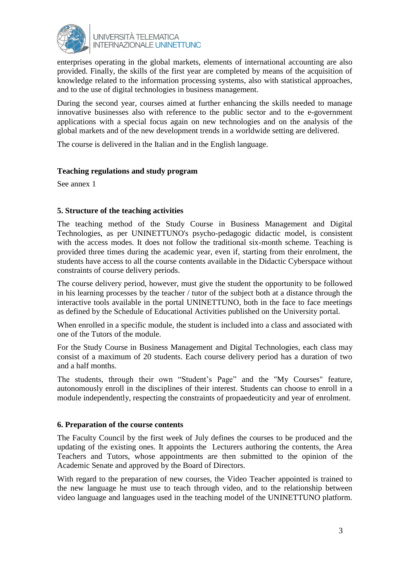

enterprises operating in the global markets, elements of international accounting are also provided. Finally, the skills of the first year are completed by means of the acquisition of knowledge related to the information processing systems, also with statistical approaches, and to the use of digital technologies in business management.

During the second year, courses aimed at further enhancing the skills needed to manage innovative businesses also with reference to the public sector and to the e-government applications with a special focus again on new technologies and on the analysis of the global markets and of the new development trends in a worldwide setting are delivered.

The course is delivered in the Italian and in the English language.

#### **Teaching regulations and study program**

See annex 1

## **5. Structure of the teaching activities**

The teaching method of the Study Course in Business Management and Digital Technologies, as per UNINETTUNO's psycho-pedagogic didactic model, is consistent with the access modes. It does not follow the traditional six-month scheme. Teaching is provided three times during the academic year, even if, starting from their enrolment, the students have access to all the course contents available in the Didactic Cyberspace without constraints of course delivery periods.

The course delivery period, however, must give the student the opportunity to be followed in his learning processes by the teacher / tutor of the subject both at a distance through the interactive tools available in the portal UNINETTUNO, both in the face to face meetings as defined by the Schedule of Educational Activities published on the University portal.

When enrolled in a specific module, the student is included into a class and associated with one of the Tutors of the module.

For the Study Course in Business Management and Digital Technologies, each class may consist of a maximum of 20 students. Each course delivery period has a duration of two and a half months.

The students, through their own "Student's Page" and the "My Courses" feature, autonomously enroll in the disciplines of their interest. Students can choose to enroll in a module independently, respecting the constraints of propaedeuticity and year of enrolment.

## **6. Preparation of the course contents**

The Faculty Council by the first week of July defines the courses to be produced and the updating of the existing ones. It appoints the Lecturers authoring the contents, the Area Teachers and Tutors, whose appointments are then submitted to the opinion of the Academic Senate and approved by the Board of Directors.

With regard to the preparation of new courses, the Video Teacher appointed is trained to the new language he must use to teach through video, and to the relationship between video language and languages used in the teaching model of the UNINETTUNO platform.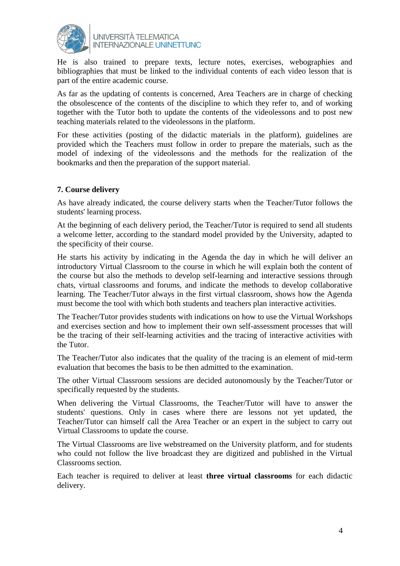

He is also trained to prepare texts, lecture notes, exercises, webographies and bibliographies that must be linked to the individual contents of each video lesson that is part of the entire academic course.

As far as the updating of contents is concerned, Area Teachers are in charge of checking the obsolescence of the contents of the discipline to which they refer to, and of working together with the Tutor both to update the contents of the videolessons and to post new teaching materials related to the videolessons in the platform.

For these activities (posting of the didactic materials in the platform), guidelines are provided which the Teachers must follow in order to prepare the materials, such as the model of indexing of the videolessons and the methods for the realization of the bookmarks and then the preparation of the support material.

## **7. Course delivery**

As have already indicated, the course delivery starts when the Teacher/Tutor follows the students' learning process.

At the beginning of each delivery period, the Teacher/Tutor is required to send all students a welcome letter, according to the standard model provided by the University, adapted to the specificity of their course.

He starts his activity by indicating in the Agenda the day in which he will deliver an introductory Virtual Classroom to the course in which he will explain both the content of the course but also the methods to develop self-learning and interactive sessions through chats, virtual classrooms and forums, and indicate the methods to develop collaborative learning. The Teacher/Tutor always in the first virtual classroom, shows how the Agenda must become the tool with which both students and teachers plan interactive activities.

The Teacher/Tutor provides students with indications on how to use the Virtual Workshops and exercises section and how to implement their own self-assessment processes that will be the tracing of their self-learning activities and the tracing of interactive activities with the Tutor.

The Teacher/Tutor also indicates that the quality of the tracing is an element of mid-term evaluation that becomes the basis to be then admitted to the examination.

The other Virtual Classroom sessions are decided autonomously by the Teacher/Tutor or specifically requested by the students.

When delivering the Virtual Classrooms, the Teacher/Tutor will have to answer the students' questions. Only in cases where there are lessons not yet updated, the Teacher/Tutor can himself call the Area Teacher or an expert in the subject to carry out Virtual Classrooms to update the course.

The Virtual Classrooms are live webstreamed on the University platform, and for students who could not follow the live broadcast they are digitized and published in the Virtual Classrooms section.

Each teacher is required to deliver at least **three virtual classrooms** for each didactic delivery.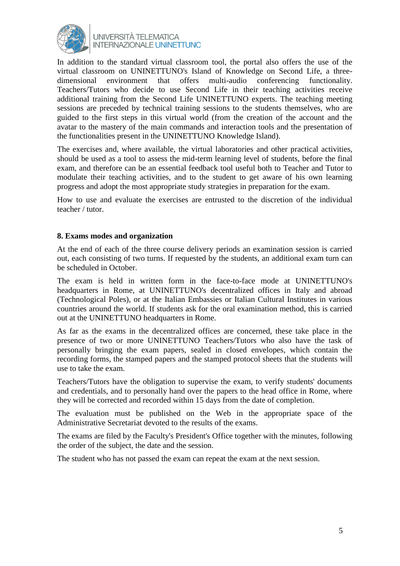

In addition to the standard virtual classroom tool, the portal also offers the use of the virtual classroom on UNINETTUNO's Island of Knowledge on Second Life, a threedimensional environment that offers multi-audio conferencing functionality. Teachers/Tutors who decide to use Second Life in their teaching activities receive additional training from the Second Life UNINETTUNO experts. The teaching meeting sessions are preceded by technical training sessions to the students themselves, who are guided to the first steps in this virtual world (from the creation of the account and the avatar to the mastery of the main commands and interaction tools and the presentation of the functionalities present in the UNINETTUNO Knowledge Island).

The exercises and, where available, the virtual laboratories and other practical activities, should be used as a tool to assess the mid-term learning level of students, before the final exam, and therefore can be an essential feedback tool useful both to Teacher and Tutor to modulate their teaching activities, and to the student to get aware of his own learning progress and adopt the most appropriate study strategies in preparation for the exam.

How to use and evaluate the exercises are entrusted to the discretion of the individual teacher / tutor.

#### **8. Exams modes and organization**

At the end of each of the three course delivery periods an examination session is carried out, each consisting of two turns. If requested by the students, an additional exam turn can be scheduled in October.

The exam is held in written form in the face-to-face mode at UNINETTUNO's headquarters in Rome, at UNINETTUNO's decentralized offices in Italy and abroad (Technological Poles), or at the Italian Embassies or Italian Cultural Institutes in various countries around the world. If students ask for the oral examination method, this is carried out at the UNINETTUNO headquarters in Rome.

As far as the exams in the decentralized offices are concerned, these take place in the presence of two or more UNINETTUNO Teachers/Tutors who also have the task of personally bringing the exam papers, sealed in closed envelopes, which contain the recording forms, the stamped papers and the stamped protocol sheets that the students will use to take the exam.

Teachers/Tutors have the obligation to supervise the exam, to verify students' documents and credentials, and to personally hand over the papers to the head office in Rome, where they will be corrected and recorded within 15 days from the date of completion.

The evaluation must be published on the Web in the appropriate space of the Administrative Secretariat devoted to the results of the exams.

The exams are filed by the Faculty's President's Office together with the minutes, following the order of the subject, the date and the session.

The student who has not passed the exam can repeat the exam at the next session.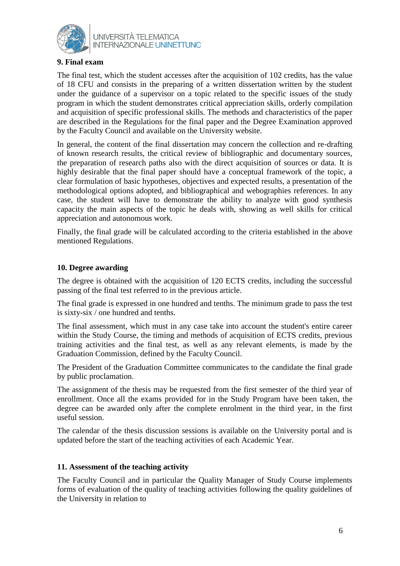

# **9. Final exam**

The final test, which the student accesses after the acquisition of 102 credits, has the value of 18 CFU and consists in the preparing of a written dissertation written by the student under the guidance of a supervisor on a topic related to the specific issues of the study program in which the student demonstrates critical appreciation skills, orderly compilation and acquisition of specific professional skills. The methods and characteristics of the paper are described in the Regulations for the final paper and the Degree Examination approved by the Faculty Council and available on the University website.

In general, the content of the final dissertation may concern the collection and re-drafting of known research results, the critical review of bibliographic and documentary sources, the preparation of research paths also with the direct acquisition of sources or data. It is highly desirable that the final paper should have a conceptual framework of the topic, a clear formulation of basic hypotheses, objectives and expected results, a presentation of the methodological options adopted, and bibliographical and webographies references. In any case, the student will have to demonstrate the ability to analyze with good synthesis capacity the main aspects of the topic he deals with, showing as well skills for critical appreciation and autonomous work.

Finally, the final grade will be calculated according to the criteria established in the above mentioned Regulations.

#### **10. Degree awarding**

The degree is obtained with the acquisition of 120 ECTS credits, including the successful passing of the final test referred to in the previous article.

The final grade is expressed in one hundred and tenths. The minimum grade to pass the test is sixty-six / one hundred and tenths.

The final assessment, which must in any case take into account the student's entire career within the Study Course, the timing and methods of acquisition of ECTS credits, previous training activities and the final test, as well as any relevant elements, is made by the Graduation Commission, defined by the Faculty Council.

The President of the Graduation Committee communicates to the candidate the final grade by public proclamation.

The assignment of the thesis may be requested from the first semester of the third year of enrollment. Once all the exams provided for in the Study Program have been taken, the degree can be awarded only after the complete enrolment in the third year, in the first useful session.

The calendar of the thesis discussion sessions is available on the University portal and is updated before the start of the teaching activities of each Academic Year.

#### **11. Assessment of the teaching activity**

The Faculty Council and in particular the Quality Manager of Study Course implements forms of evaluation of the quality of teaching activities following the quality guidelines of the University in relation to